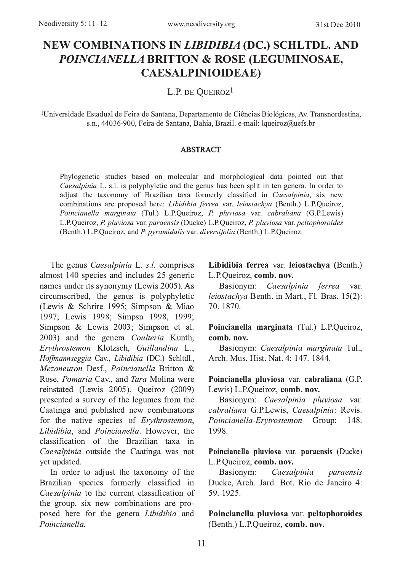# NEW COMBINATIONS IN *LIBIDIBIA* (DC.) SCHLTDL. AND POINCIANELLA BRITTON & ROSE (LEGUMINOSAE, **CAESALPINIOIDEAE)**

L.P. DE OUEIROZ<sup>1</sup>

<sup>1</sup>Universidade Estadual de Feira de Santana, Departamento de Ciências Biológicas, Av. Transnordestina, s.n., 44036-900, Feira de Santana, Bahia, Brazil. e-mail: lqueiroz@uefs.br

#### **ABSTRACT**

Phylogenetic studies based on molecular and morphological data pointed out that Caesalpinia L. s.l. is polyphyletic and the genus has been split in ten genera. In order to adjust the taxonomy of Brazilian taxa formerly classified in Caesalpinia, six new combinations are proposed here: Libidibia ferrea var. leiostachya (Benth.) L.P.Queiroz, Poincianella marginata (Tul.) L.P.Queiroz, P. pluviosa var. cabraliana (G.P.Lewis) L.P.Queiroz, P. pluviosa var. paraensis (Ducke) L.P.Queiroz, P. pluviosa var. peltophoroides (Benth.) L.P.Queiroz, and P. pyramidalis var. diversifolia (Benth.) L.P.Queiroz.

The genus *Caesalpinia* L. s.l. comprises almost 140 species and includes 25 generic names under its synonymy (Lewis 2005). As circumscribed, the genus is polyphyletic (Lewis & Schrire 1995; Simpson & Miao 1997: Lewis 1998: Simpsn 1998, 1999: Simpson & Lewis 2003; Simpson et al. 2003) and the genera Coulteria Kunth, Erythrostemon Klotzsch, Guillandina L., Hoffmannseggia Cav., Libidibia (DC.) Schltdl., Mezoneuron Desf., Poincianella Britton & Rose, *Pomaria* Cay., and *Tara* Molina were reinstated (Lewis 2005). Queiroz (2009) presented a survey of the legumes from the Caatinga and published new combinations for the native species of Erythrostemon, Libidibia, and Poincianella. However, the classification of the Brazilian taxa in Caesalpinia outside the Caatinga was not vet updated.

In order to adjust the taxonomy of the Brazilian species formerly classified in Caesalpinia to the current classification of the group, six new combinations are proposed here for the genera Libidibia and Poincianella

## Libidibia ferrea var. leiostachya (Benth.) L.P.Oueiroz. comb. nov.

Basionym: Caesalpinia ferrea var. leiostachya Benth, in Mart., Fl. Bras, 15(2): 70.1870.

## Poincianella marginata (Tul.) L.P.Queiroz, comb. nov.

Basionym: Caesalpinia marginata Tul., Arch Mus Hist Nat 4: 147 1844

## Poincianella pluviosa var. cabraliana (G.P. Lewis) L.P.Queiroz, comb. nov.

Basionym: Caesalpinia pluviosa var. cabraliana G.P.Lewis, Caesalpinia: Revis. Poincianella-Ervtrostemon Group: 148. 1998.

Poincianella pluviosa var. paraensis (Ducke) L.P.Oueiroz, comb. nov.

Basionym: Caesalpinia paraensis Ducke, Arch. Jard. Bot. Rio de Janeiro 4: 59.1925.

Poincianella pluviosa var. peltophoroides (Benth.) L.P.Queiroz, comb. nov.